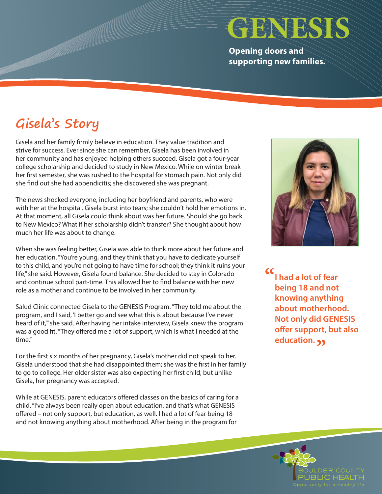## **GENESIS**

**Opening doors and supporting new families.**

## **Gisela's Story**

Gisela and her family firmly believe in education. They value tradition and strive for success. Ever since she can remember, Gisela has been involved in her community and has enjoyed helping others succeed. Gisela got a four-year college scholarship and decided to study in New Mexico. While on winter break her first semester, she was rushed to the hospital for stomach pain. Not only did she find out she had appendicitis; she discovered she was pregnant.

The news shocked everyone, including her boyfriend and parents, who were with her at the hospital. Gisela burst into tears; she couldn't hold her emotions in. At that moment, all Gisela could think about was her future. Should she go back to New Mexico? What if her scholarship didn't transfer? She thought about how much her life was about to change.

When she was feeling better, Gisela was able to think more about her future and her education. "You're young, and they think that you have to dedicate yourself to this child, and you're not going to have time for school; they think it ruins your life," she said. However, Gisela found balance. She decided to stay in Colorado and continue school part-time. This allowed her to find balance with her new role as a mother and continue to be involved in her community.

Salud Clinic connected Gisela to the GENESIS Program. "They told me about the program, and I said, 'I better go and see what this is about because I've never heard of it,'" she said. After having her intake interview, Gisela knew the program was a good fit. "They offered me a lot of support, which is what I needed at the time."

For the first six months of her pregnancy, Gisela's mother did not speak to her. Gisela understood that she had disappointed them; she was the first in her family to go to college. Her older sister was also expecting her first child, but unlike Gisela, her pregnancy was accepted.

While at GENESIS, parent educators offered classes on the basics of caring for a child. "I've always been really open about education, and that's what GENESIS offered – not only support, but education, as well. I had a lot of fear being 18 and not knowing anything about motherhood. After being in the program for



**I had a lot of fear being 18 and not knowing anything about motherhood. Not only did GENESIS offer support, but also education. "**